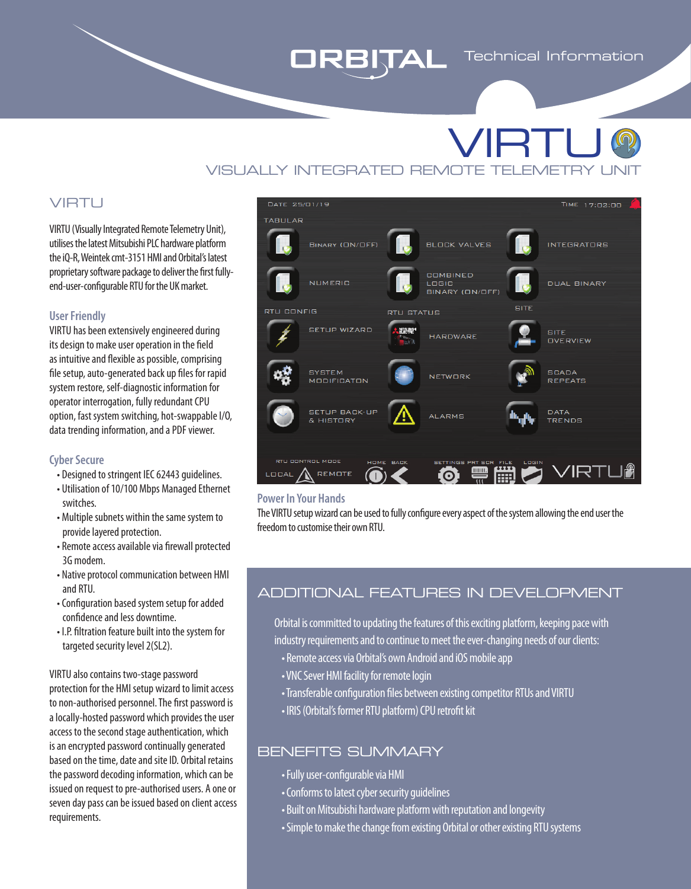# ORBITAL

# VISUALLY INTEGRATED REMOTE TELEMETRY VIRTU

## VIRTU

VIRTU (Visually Integrated Remote Telemetry Unit), utilises the latest Mitsubishi PLC hardware platform the iQ-R, Weintek cmt-3151 HMI and Orbital's latest proprietary software package to deliver the first fullyend-user-configurable RTU for the UK market.

#### **User Friendly**

VIRTU has been extensively engineered during its design to make user operation in the field as intuitive and flexible as possible, comprising file setup, auto-generated back up files for rapid system restore, self-diagnostic information for operator interrogation, fully redundant CPU option, fast system switching, hot-swappable I/O, data trending information, and a PDF viewer.

#### **Cyber Secure**

- Designed to stringent IEC 62443 guidelines.
- Utilisation of 10/100 Mbps Managed Ethernet switches.
- Multiple subnets within the same system to provide layered protection.
- Remote access available via firewall protected 3G modem.
- Native protocol communication between HMI and RTU.
- Configuration based system setup for added confidence and less downtime.
- I.P. filtration feature built into the system for targeted security level 2(SL2).

VIRTU also contains two-stage password protection for the HMI setup wizard to limit access to non-authorised personnel. The first password is a locally-hosted password which provides the user access to the second stage authentication, which is an encrypted password continually generated based on the time, date and site ID. Orbital retains the password decoding information, which can be issued on request to pre-authorised users. A one or seven day pass can be issued based on client access requirements.



#### **Power In Your Hands**

The VIRTU setup wizard can be used to fully configure every aspect of the system allowing the end user the freedom to customise their own RTU.

### ADDITIONAL FEATURES IN DEVELOPMENT

Orbital is committed to updating the features of this exciting platform, keeping pace with industry requirements and to continue to meet the ever-changing needs of our clients:

- Remote access via Orbital's own Android and iOS mobile app
- VNC Sever HMI facility for remote login
- Transferable configuration files between existing competitor RTUs and VIRTU
- IRIS (Orbital's former RTU platform) CPU retrofit kit

### BENEFITS SUMMARY

- Fully user-configurable via HMI
- Conforms to latest cyber security guidelines
- Built on Mitsubishi hardware platform with reputation and longevity
- Simple to make the change from existing Orbital or other existing RTU systems